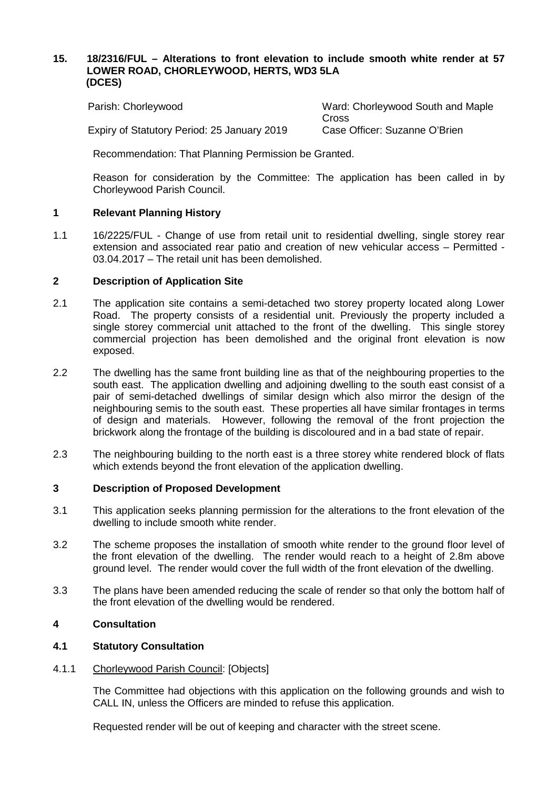### **15. 18/2316/FUL – Alterations to front elevation to include smooth white render at 57 LOWER ROAD, CHORLEYWOOD, HERTS, WD3 5LA (DCES)**

| Parish: Chorleywood                         | Ward: Chorleywood South and Maple |
|---------------------------------------------|-----------------------------------|
|                                             | Cross                             |
| Expiry of Statutory Period: 25 January 2019 | Case Officer: Suzanne O'Brien     |

Recommendation: That Planning Permission be Granted.

Reason for consideration by the Committee: The application has been called in by Chorleywood Parish Council.

# **1 Relevant Planning History**

1.1 16/2225/FUL - Change of use from retail unit to residential dwelling, single storey rear extension and associated rear patio and creation of new vehicular access – Permitted - 03.04.2017 – The retail unit has been demolished.

# **2 Description of Application Site**

- 2.1 The application site contains a semi-detached two storey property located along Lower Road. The property consists of a residential unit. Previously the property included a single storey commercial unit attached to the front of the dwelling. This single storey commercial projection has been demolished and the original front elevation is now exposed.
- 2.2 The dwelling has the same front building line as that of the neighbouring properties to the south east. The application dwelling and adjoining dwelling to the south east consist of a pair of semi-detached dwellings of similar design which also mirror the design of the neighbouring semis to the south east. These properties all have similar frontages in terms of design and materials. However, following the removal of the front projection the brickwork along the frontage of the building is discoloured and in a bad state of repair.
- 2.3 The neighbouring building to the north east is a three storey white rendered block of flats which extends beyond the front elevation of the application dwelling.

# **3 Description of Proposed Development**

- 3.1 This application seeks planning permission for the alterations to the front elevation of the dwelling to include smooth white render.
- 3.2 The scheme proposes the installation of smooth white render to the ground floor level of the front elevation of the dwelling. The render would reach to a height of 2.8m above ground level. The render would cover the full width of the front elevation of the dwelling.
- 3.3 The plans have been amended reducing the scale of render so that only the bottom half of the front elevation of the dwelling would be rendered.

#### **4 Consultation**

# **4.1 Statutory Consultation**

# 4.1.1 Chorleywood Parish Council: [Objects]

The Committee had objections with this application on the following grounds and wish to CALL IN, unless the Officers are minded to refuse this application.

Requested render will be out of keeping and character with the street scene.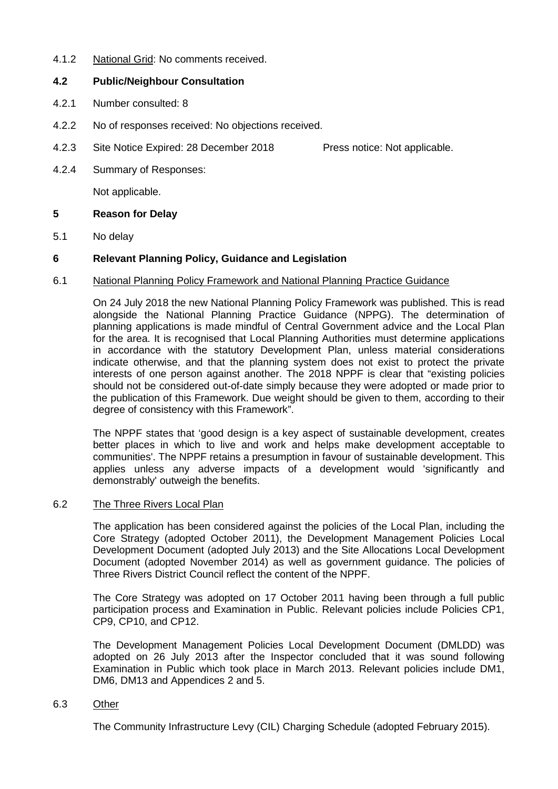4.1.2 National Grid: No comments received.

# **4.2 Public/Neighbour Consultation**

- 4.2.1 Number consulted: 8
- 4.2.2 No of responses received: No objections received.
- 4.2.3 Site Notice Expired: 28 December 2018 Press notice: Not applicable.
- 4.2.4 Summary of Responses:

Not applicable.

### **5 Reason for Delay**

5.1 No delay

# **6 Relevant Planning Policy, Guidance and Legislation**

### 6.1 National Planning Policy Framework and National Planning Practice Guidance

On 24 July 2018 the new National Planning Policy Framework was published. This is read alongside the National Planning Practice Guidance (NPPG). The determination of planning applications is made mindful of Central Government advice and the Local Plan for the area. It is recognised that Local Planning Authorities must determine applications in accordance with the statutory Development Plan, unless material considerations indicate otherwise, and that the planning system does not exist to protect the private interests of one person against another. The 2018 NPPF is clear that "existing policies should not be considered out-of-date simply because they were adopted or made prior to the publication of this Framework. Due weight should be given to them, according to their degree of consistency with this Framework".

The NPPF states that 'good design is a key aspect of sustainable development, creates better places in which to live and work and helps make development acceptable to communities'. The NPPF retains a presumption in favour of sustainable development. This applies unless any adverse impacts of a development would 'significantly and demonstrably' outweigh the benefits.

#### 6.2 The Three Rivers Local Plan

The application has been considered against the policies of the Local Plan, including the Core Strategy (adopted October 2011), the Development Management Policies Local Development Document (adopted July 2013) and the Site Allocations Local Development Document (adopted November 2014) as well as government guidance. The policies of Three Rivers District Council reflect the content of the NPPF.

The Core Strategy was adopted on 17 October 2011 having been through a full public participation process and Examination in Public. Relevant policies include Policies CP1, CP9, CP10, and CP12.

The Development Management Policies Local Development Document (DMLDD) was adopted on 26 July 2013 after the Inspector concluded that it was sound following Examination in Public which took place in March 2013. Relevant policies include DM1, DM6, DM13 and Appendices 2 and 5.

#### 6.3 Other

The Community Infrastructure Levy (CIL) Charging Schedule (adopted February 2015).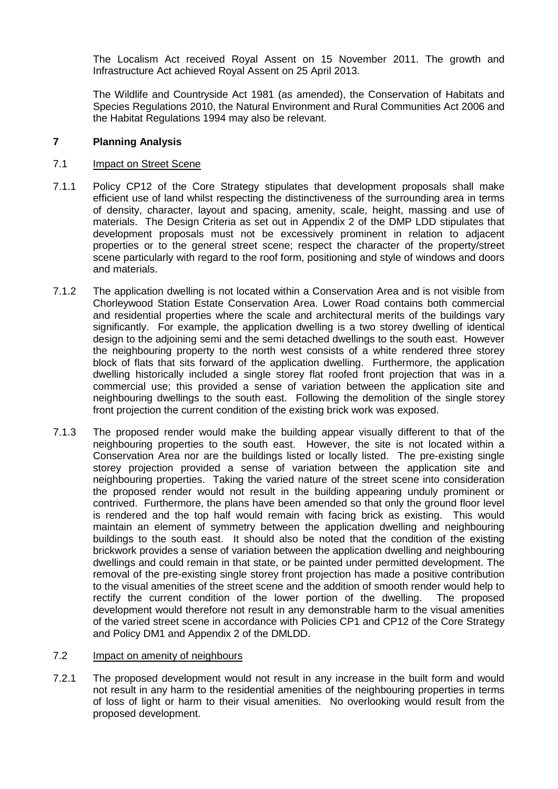The Localism Act received Royal Assent on 15 November 2011. The growth and Infrastructure Act achieved Royal Assent on 25 April 2013.

The Wildlife and Countryside Act 1981 (as amended), the Conservation of Habitats and Species Regulations 2010, the Natural Environment and Rural Communities Act 2006 and the Habitat Regulations 1994 may also be relevant.

# **7 Planning Analysis**

### 7.1 Impact on Street Scene

- 7.1.1 Policy CP12 of the Core Strategy stipulates that development proposals shall make efficient use of land whilst respecting the distinctiveness of the surrounding area in terms of density, character, layout and spacing, amenity, scale, height, massing and use of materials. The Design Criteria as set out in Appendix 2 of the DMP LDD stipulates that development proposals must not be excessively prominent in relation to adjacent properties or to the general street scene; respect the character of the property/street scene particularly with regard to the roof form, positioning and style of windows and doors and materials.
- 7.1.2 The application dwelling is not located within a Conservation Area and is not visible from Chorleywood Station Estate Conservation Area. Lower Road contains both commercial and residential properties where the scale and architectural merits of the buildings vary significantly. For example, the application dwelling is a two storey dwelling of identical design to the adjoining semi and the semi detached dwellings to the south east. However the neighbouring property to the north west consists of a white rendered three storey block of flats that sits forward of the application dwelling. Furthermore, the application dwelling historically included a single storey flat roofed front projection that was in a commercial use; this provided a sense of variation between the application site and neighbouring dwellings to the south east. Following the demolition of the single storey front projection the current condition of the existing brick work was exposed.
- 7.1.3 The proposed render would make the building appear visually different to that of the neighbouring properties to the south east. However, the site is not located within a Conservation Area nor are the buildings listed or locally listed. The pre-existing single storey projection provided a sense of variation between the application site and neighbouring properties. Taking the varied nature of the street scene into consideration the proposed render would not result in the building appearing unduly prominent or contrived. Furthermore, the plans have been amended so that only the ground floor level is rendered and the top half would remain with facing brick as existing. This would maintain an element of symmetry between the application dwelling and neighbouring buildings to the south east. It should also be noted that the condition of the existing brickwork provides a sense of variation between the application dwelling and neighbouring dwellings and could remain in that state, or be painted under permitted development. The removal of the pre-existing single storey front projection has made a positive contribution to the visual amenities of the street scene and the addition of smooth render would help to rectify the current condition of the lower portion of the dwelling. The proposed development would therefore not result in any demonstrable harm to the visual amenities of the varied street scene in accordance with Policies CP1 and CP12 of the Core Strategy and Policy DM1 and Appendix 2 of the DMLDD.

#### 7.2 Impact on amenity of neighbours

7.2.1 The proposed development would not result in any increase in the built form and would not result in any harm to the residential amenities of the neighbouring properties in terms of loss of light or harm to their visual amenities. No overlooking would result from the proposed development.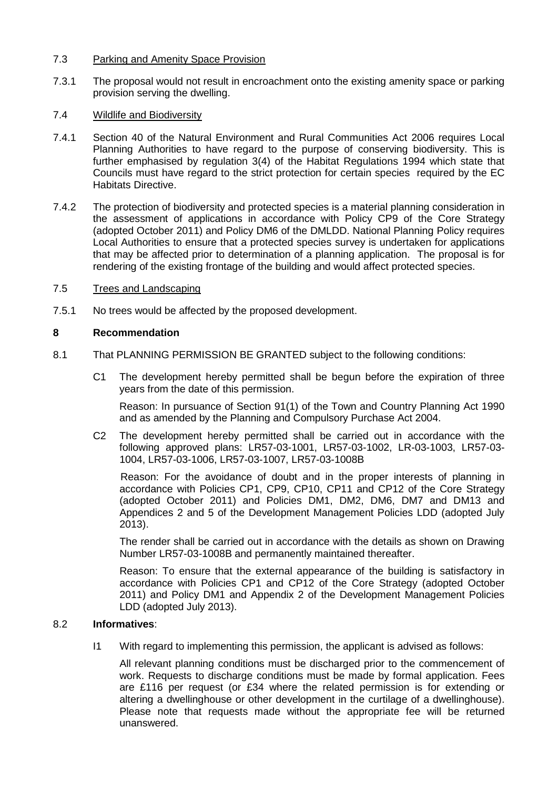### 7.3 Parking and Amenity Space Provision

7.3.1 The proposal would not result in encroachment onto the existing amenity space or parking provision serving the dwelling.

### 7.4 Wildlife and Biodiversity

- 7.4.1 Section 40 of the Natural Environment and Rural Communities Act 2006 requires Local Planning Authorities to have regard to the purpose of conserving biodiversity. This is further emphasised by regulation 3(4) of the Habitat Regulations 1994 which state that Councils must have regard to the strict protection for certain species required by the EC Habitats Directive.
- 7.4.2 The protection of biodiversity and protected species is a material planning consideration in the assessment of applications in accordance with Policy CP9 of the Core Strategy (adopted October 2011) and Policy DM6 of the DMLDD. National Planning Policy requires Local Authorities to ensure that a protected species survey is undertaken for applications that may be affected prior to determination of a planning application. The proposal is for rendering of the existing frontage of the building and would affect protected species.

### 7.5 Trees and Landscaping

7.5.1 No trees would be affected by the proposed development.

### **8 Recommendation**

- 8.1 That PLANNING PERMISSION BE GRANTED subject to the following conditions:
	- C1 The development hereby permitted shall be begun before the expiration of three years from the date of this permission.

Reason: In pursuance of Section 91(1) of the Town and Country Planning Act 1990 and as amended by the Planning and Compulsory Purchase Act 2004.

C2 The development hereby permitted shall be carried out in accordance with the following approved plans: LR57-03-1001, LR57-03-1002, LR-03-1003, LR57-03- 1004, LR57-03-1006, LR57-03-1007, LR57-03-1008B

Reason: For the avoidance of doubt and in the proper interests of planning in accordance with Policies CP1, CP9, CP10, CP11 and CP12 of the Core Strategy (adopted October 2011) and Policies DM1, DM2, DM6, DM7 and DM13 and Appendices 2 and 5 of the Development Management Policies LDD (adopted July 2013).

The render shall be carried out in accordance with the details as shown on Drawing Number LR57-03-1008B and permanently maintained thereafter.

Reason: To ensure that the external appearance of the building is satisfactory in accordance with Policies CP1 and CP12 of the Core Strategy (adopted October 2011) and Policy DM1 and Appendix 2 of the Development Management Policies LDD (adopted July 2013).

# 8.2 **Informatives**:

I1 With regard to implementing this permission, the applicant is advised as follows:

All relevant planning conditions must be discharged prior to the commencement of work. Requests to discharge conditions must be made by formal application. Fees are £116 per request (or £34 where the related permission is for extending or altering a dwellinghouse or other development in the curtilage of a dwellinghouse). Please note that requests made without the appropriate fee will be returned unanswered.